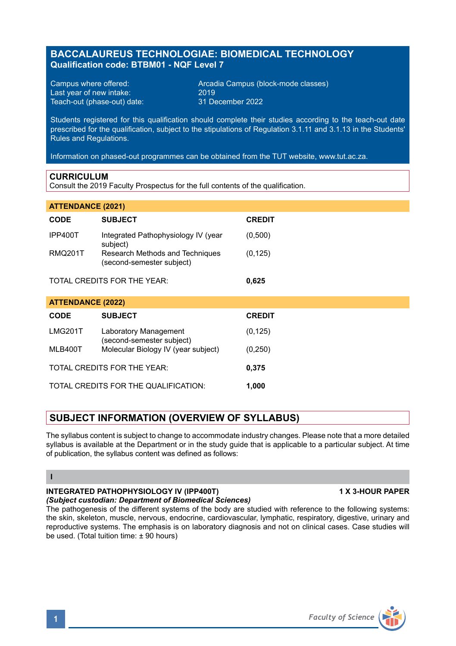# **BACCALAUREUS TECHNOLOGIAE: BIOMEDICAL TECHNOLOGY Qualification code: BTBM01 - NQF Level 7**

Last year of new intake: 2019 Teach-out (phase-out) date:

Campus where offered: <br>
Last vear of new intake: 2019 2019<br>
2019 2019

Students registered for this qualification should complete their studies according to the teach-out date prescribed for the qualification, subject to the stipulations of Regulation 3.1.11 and 3.1.13 in the Students' Rules and Regulations.

Information on phased-out programmes can be obtained from the TUT website, www.tut.ac.za.

### **CURRICULUM**

Consult the 2019 Faculty Prospectus for the full contents of the qualification.

| <b>ATTENDANCE (2021)</b>    |                                                              |               |
|-----------------------------|--------------------------------------------------------------|---------------|
| <b>CODE</b>                 | <b>SUBJECT</b>                                               | <b>CREDIT</b> |
| IPP400T                     | Integrated Pathophysiology IV (year<br>subject)              | (0,500)       |
| <b>RMQ201T</b>              | Research Methods and Techniques<br>(second-semester subject) | (0, 125)      |
| TOTAL CREDITS FOR THE YEAR: |                                                              | 0,625         |
| <b>ATTENDANCE (2022)</b>    |                                                              |               |
| <b>CODE</b>                 | <b>SUBJECT</b>                                               | <b>CREDIT</b> |
| <b>LMG201T</b>              | Laboratory Management<br>(second-semester subject)           | (0, 125)      |
| MLB400T                     | Molecular Biology IV (year subject)                          | (0, 250)      |
| TOTAL CREDITS FOR THE YEAR: |                                                              | 0,375         |

TOTAL CREDITS FOR THE QUALIFICATION: **1,000**

# **SUBJECT INFORMATION (OVERVIEW OF SYLLABUS)**

The syllabus content is subject to change to accommodate industry changes. Please note that a more detailed syllabus is available at the Department or in the study guide that is applicable to a particular subject. At time of publication, the syllabus content was defined as follows:

### **I**

#### **INTEGRATED PATHOPHYSIOLOGY IV (IPP400T) 1 X 3-HOUR PAPER** *(Subject custodian: Department of Biomedical Sciences)*

The pathogenesis of the different systems of the body are studied with reference to the following systems: the skin, skeleton, muscle, nervous, endocrine, cardiovascular, lymphatic, respiratory, digestive, urinary and reproductive systems. The emphasis is on laboratory diagnosis and not on clinical cases. Case studies will be used. (Total tuition time: ± 90 hours)